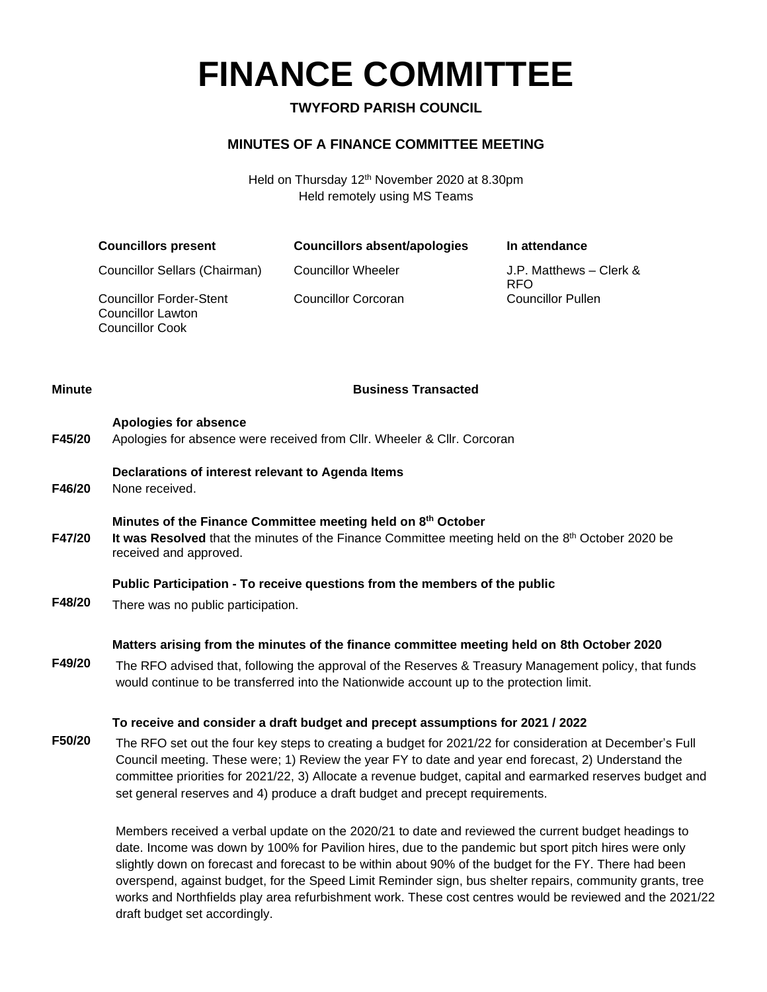# **FINANCE COMMITTEE**

# **TWYFORD PARISH COUNCIL**

## **MINUTES OF A FINANCE COMMITTEE MEETING**

Held on Thursday 12<sup>th</sup> November 2020 at 8.30pm Held remotely using MS Teams

| <b>Councillors present</b>                                                           | Councillors absent/apologies | In attendance                         |
|--------------------------------------------------------------------------------------|------------------------------|---------------------------------------|
| Councillor Sellars (Chairman)                                                        | Councillor Wheeler           | J.P. Matthews – Clerk &<br><b>RFO</b> |
| <b>Councillor Forder-Stent</b><br><b>Councillor Lawton</b><br><b>Councillor Cook</b> | <b>Councillor Corcoran</b>   | <b>Councillor Pullen</b>              |

### **Minute Business Transacted**

| F45/20 | Apologies for absence<br>Apologies for absence were received from CIIr. Wheeler & CIIr. Corcoran                                                                                                                                                                                                                                                                                                             |
|--------|--------------------------------------------------------------------------------------------------------------------------------------------------------------------------------------------------------------------------------------------------------------------------------------------------------------------------------------------------------------------------------------------------------------|
| F46/20 | Declarations of interest relevant to Agenda Items<br>None received.                                                                                                                                                                                                                                                                                                                                          |
| F47/20 | Minutes of the Finance Committee meeting held on 8th October<br>It was Resolved that the minutes of the Finance Committee meeting held on the 8th October 2020 be<br>received and approved.                                                                                                                                                                                                                  |
| F48/20 | Public Participation - To receive questions from the members of the public<br>There was no public participation.                                                                                                                                                                                                                                                                                             |
|        | Matters arising from the minutes of the finance committee meeting held on 8th October 2020                                                                                                                                                                                                                                                                                                                   |
| F49/20 | The RFO advised that, following the approval of the Reserves & Treasury Management policy, that funds<br>would continue to be transferred into the Nationwide account up to the protection limit.                                                                                                                                                                                                            |
|        | To receive and consider a draft budget and precept assumptions for 2021 / 2022                                                                                                                                                                                                                                                                                                                               |
| F50/20 | The RFO set out the four key steps to creating a budget for 2021/22 for consideration at December's Full<br>Council meeting. These were; 1) Review the year FY to date and year end forecast, 2) Understand the<br>committee priorities for 2021/22, 3) Allocate a revenue budget, capital and earmarked reserves budget and<br>set general reserves and 4) produce a draft budget and precept requirements. |
|        | Members received a verbal update on the 2020/21 to date and reviewed the current budget headings to<br>date. Income was down by 100% for Pavilion hires, due to the pandemic but sport pitch hires were only<br>slightly down on forecast and forecast to be within about 90% of the budget for the FY. There had been                                                                                       |

slightly down on forecast and forecast to be within about 90% of the budget for the FY. There had been overspend, against budget, for the Speed Limit Reminder sign, bus shelter repairs, community grants, tree works and Northfields play area refurbishment work. These cost centres would be reviewed and the 2021/22 draft budget set accordingly.